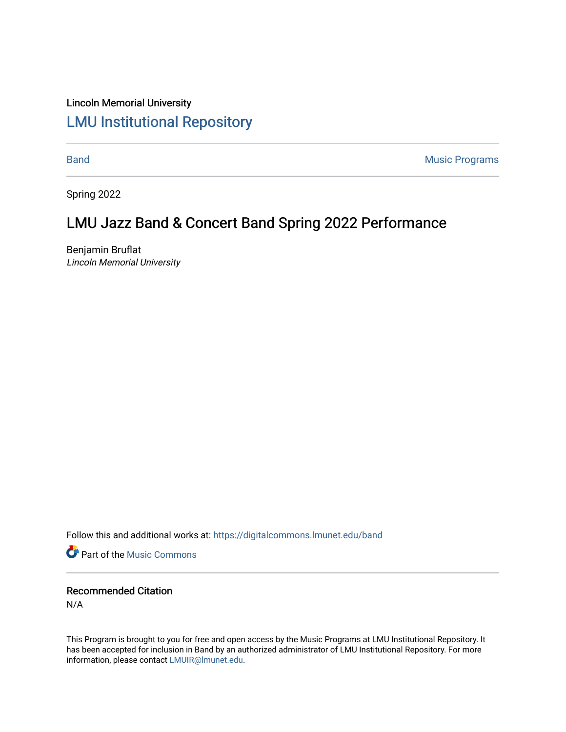## Lincoln Memorial University [LMU Institutional Repository](https://digitalcommons.lmunet.edu/)

[Band](https://digitalcommons.lmunet.edu/band) **Music Programs** 

Spring 2022

## LMU Jazz Band & Concert Band Spring 2022 Performance

Benjamin Bruflat Lincoln Memorial University

Follow this and additional works at: [https://digitalcommons.lmunet.edu/band](https://digitalcommons.lmunet.edu/band?utm_source=digitalcommons.lmunet.edu%2Fband%2F1&utm_medium=PDF&utm_campaign=PDFCoverPages)

**Part of the Music Commons** 

Recommended Citation N/A

This Program is brought to you for free and open access by the Music Programs at LMU Institutional Repository. It has been accepted for inclusion in Band by an authorized administrator of LMU Institutional Repository. For more information, please contact [LMUIR@lmunet.edu.](mailto:LMUIR@lmunet.edu)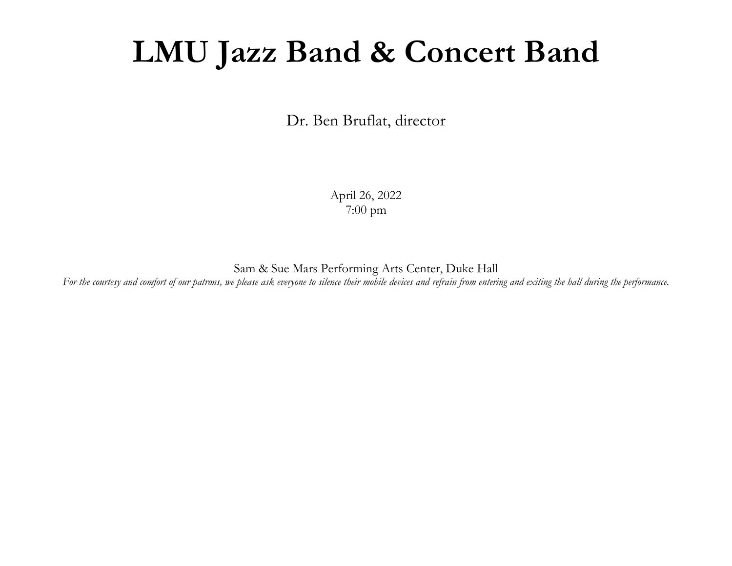## **LMU Jazz Band & Concert Band**

Dr. Ben Bruflat, director

April 26, 2022 7:00 pm

Sam & Sue Mars Performing Arts Center, Duke Hall *For the courtesy and comfort of our patrons, we please ask everyone to silence their mobile devices and refrain from entering and exiting the hall during the performance.*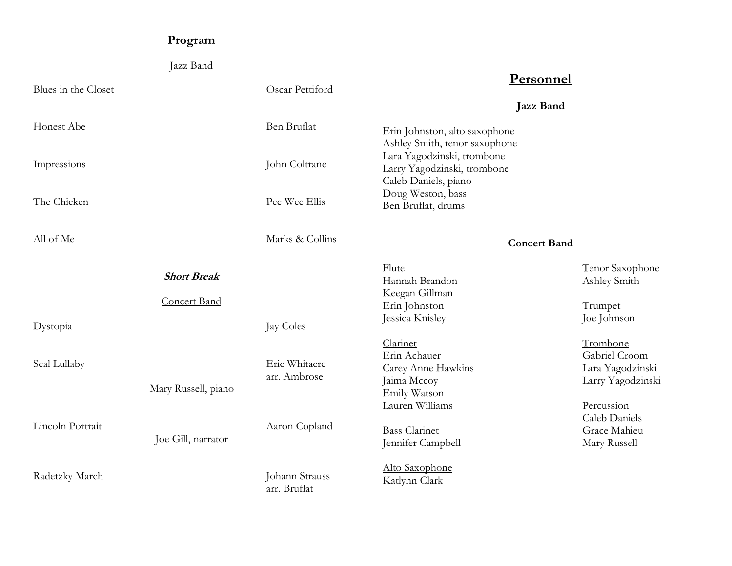## **Program**

|                     | <b>Jazz Band</b>    |                                |                                                                                   |                                                                    |
|---------------------|---------------------|--------------------------------|-----------------------------------------------------------------------------------|--------------------------------------------------------------------|
| Blues in the Closet |                     | Oscar Pettiford                | Personnel                                                                         |                                                                    |
|                     |                     |                                | <b>Jazz Band</b>                                                                  |                                                                    |
| Honest Abe          |                     | Ben Bruflat                    | Erin Johnston, alto saxophone<br>Ashley Smith, tenor saxophone                    |                                                                    |
| Impressions         |                     | John Coltrane                  | Lara Yagodzinski, trombone<br>Larry Yagodzinski, trombone<br>Caleb Daniels, piano |                                                                    |
| The Chicken         |                     | Pee Wee Ellis                  | Doug Weston, bass<br>Ben Bruflat, drums                                           |                                                                    |
| All of Me           |                     | Marks & Collins                | <b>Concert Band</b>                                                               |                                                                    |
|                     | <b>Short Break</b>  |                                | Flute<br>Hannah Brandon                                                           | Tenor Saxophone<br>Ashley Smith                                    |
|                     | <b>Concert Band</b> |                                | Keegan Gillman<br>Erin Johnston                                                   | <b>Trumpet</b>                                                     |
| Dystopia            |                     | Jay Coles                      | Jessica Knisley                                                                   | Joe Johnson                                                        |
| Seal Lullaby        | Mary Russell, piano | Eric Whitacre<br>arr. Ambrose  | Clarinet<br>Erin Achauer<br>Carey Anne Hawkins<br>Jaima Mccoy<br>Emily Watson     | Trombone<br>Gabriel Croom<br>Lara Yagodzinski<br>Larry Yagodzinski |
| Lincoln Portrait    | Joe Gill, narrator  | Aaron Copland                  | Lauren Williams<br><b>Bass Clarinet</b><br>Jennifer Campbell                      | Percussion<br>Caleb Daniels<br>Grace Mahieu<br>Mary Russell        |
| Radetzky March      |                     | Johann Strauss<br>arr. Bruflat | Alto Saxophone<br>Katlynn Clark                                                   |                                                                    |